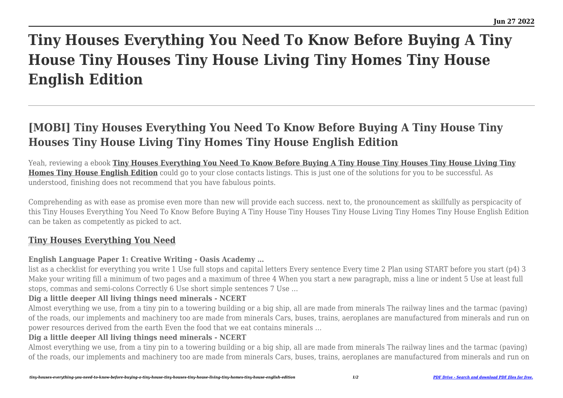# **Tiny Houses Everything You Need To Know Before Buying A Tiny House Tiny Houses Tiny House Living Tiny Homes Tiny House English Edition**

## **[MOBI] Tiny Houses Everything You Need To Know Before Buying A Tiny House Tiny Houses Tiny House Living Tiny Homes Tiny House English Edition**

Yeah, reviewing a ebook **[Tiny Houses Everything You Need To Know Before Buying A Tiny House Tiny Houses Tiny House Living Tiny](https://uniport.edu.ng) [Homes Tiny House English Edition](https://uniport.edu.ng)** could go to your close contacts listings. This is just one of the solutions for you to be successful. As understood, finishing does not recommend that you have fabulous points.

Comprehending as with ease as promise even more than new will provide each success. next to, the pronouncement as skillfully as perspicacity of this Tiny Houses Everything You Need To Know Before Buying A Tiny House Tiny Houses Tiny House Living Tiny Homes Tiny House English Edition can be taken as competently as picked to act.

### **[Tiny Houses Everything You Need](https://uniport.edu.ng/tiny-houses-everything-you-need-to-know-before-buying-a-tiny-house-tiny-houses-tiny-house-living-tiny-homes-tiny-house-english-edition.pdf)**

#### **English Language Paper 1: Creative Writing - Oasis Academy …**

list as a checklist for everything you write 1 Use full stops and capital letters Every sentence Every time 2 Plan using START before you start (p4) 3 Make your writing fill a minimum of two pages and a maximum of three 4 When you start a new paragraph, miss a line or indent 5 Use at least full stops, commas and semi-colons Correctly 6 Use short simple sentences 7 Use …

#### **Dig a little deeper All living things need minerals - NCERT**

Almost everything we use, from a tiny pin to a towering building or a big ship, all are made from minerals The railway lines and the tarmac (paving) of the roads, our implements and machinery too are made from minerals Cars, buses, trains, aeroplanes are manufactured from minerals and run on power resources derived from the earth Even the food that we eat contains minerals …

#### **Dig a little deeper All living things need minerals - NCERT**

Almost everything we use, from a tiny pin to a towering building or a big ship, all are made from minerals The railway lines and the tarmac (paving) of the roads, our implements and machinery too are made from minerals Cars, buses, trains, aeroplanes are manufactured from minerals and run on